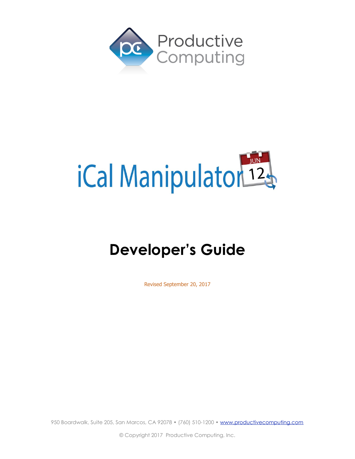



# **Developer's Guide**

Revised September 20, 2017

950 Boardwalk, Suite 205, San Marcos, CA 92078 • (760) 510-1200 • [www.productivecomputing.com](http://www.productivecomputing.com)

© Copyright 2017 Productive Computing, Inc.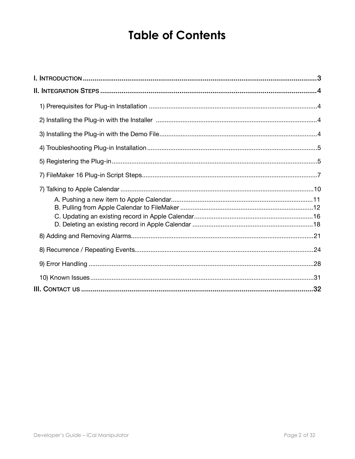## **Table of Contents**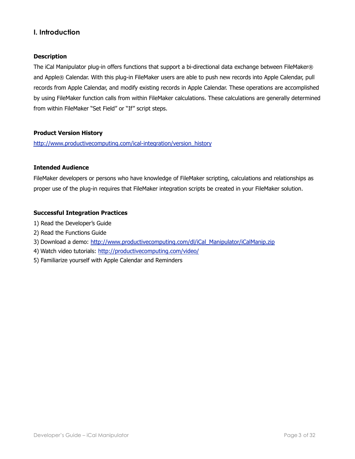## <span id="page-2-0"></span>**I. Introduction**

#### **Description**

The iCal Manipulator plug-in offers functions that support a bi-directional data exchange between FileMaker® and Apple® Calendar. With this plug-in FileMaker users are able to push new records into Apple Calendar, pull records from Apple Calendar, and modify existing records in Apple Calendar. These operations are accomplished by using FileMaker function calls from within FileMaker calculations. These calculations are generally determined from within FileMaker "Set Field" or "If" script steps.

#### **Product Version History**

[http://www.productivecomputing.com/ical-integration/version\\_history](http://www.productivecomputing.com/ical-integration/version_history)

#### **Intended Audience**

FileMaker developers or persons who have knowledge of FileMaker scripting, calculations and relationships as proper use of the plug-in requires that FileMaker integration scripts be created in your FileMaker solution.

#### **Successful Integration Practices**

- 1) Read the Developer's Guide
- 2) Read the Functions Guide
- 3) Download a demo: [http://www.productivecomputing.com/dl/iCal\\_Manipulator/iCalManip.zip](http://www.productivecomputing.com/dl/iCal_Manipulator/iCalManip.zip)
- 4) Watch video tutorials:<http://productivecomputing.com/video/>
- 5) Familiarize yourself with Apple Calendar and Reminders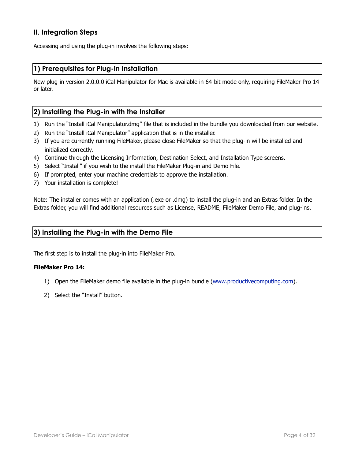## <span id="page-3-0"></span>**II. Integration Steps**

Accessing and using the plug-in involves the following steps:

## <span id="page-3-1"></span>**1) Prerequisites for Plug-in Installation**

New plug-in version 2.0.0.0 iCal Manipulator for Mac is available in 64-bit mode only, requiring FileMaker Pro 14 or later.

## <span id="page-3-2"></span>**2) Installing the Plug-in with the Installer**

- 1) Run the "Install iCal Manipulator.dmg" file that is included in the bundle you downloaded from our website.
- 2) Run the "Install iCal Manipulator" application that is in the installer.
- 3) If you are currently running FileMaker, please close FileMaker so that the plug-in will be installed and initialized correctly.
- 4) Continue through the Licensing Information, Destination Select, and Installation Type screens.
- 5) Select "Install" if you wish to the install the FileMaker Plug-in and Demo File.
- 6) If prompted, enter your machine credentials to approve the installation.
- 7) Your installation is complete!

Note: The installer comes with an application (.exe or .dmg) to install the plug-in and an Extras folder. In the Extras folder, you will find additional resources such as License, README, FileMaker Demo File, and plug-ins.

## <span id="page-3-3"></span>**3) Installing the Plug-in with the Demo File**

The first step is to install the plug-in into FileMaker Pro.

#### **FileMaker Pro 14:**

- 1) Open the FileMaker demo file available in the plug-in bundle [\(www.productivecomputing.com](http://www.productivecomputing.com)).
- 2) Select the "Install" button.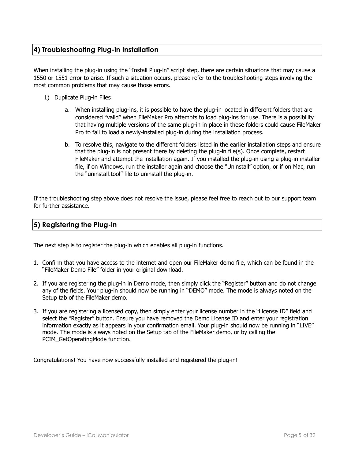## <span id="page-4-0"></span>**4) Troubleshooting Plug-in Installation**

When installing the plug-in using the "Install Plug-in" script step, there are certain situations that may cause a 1550 or 1551 error to arise. If such a situation occurs, please refer to the troubleshooting steps involving the most common problems that may cause those errors.

- 1) Duplicate Plug-in Files
	- a. When installing plug-ins, it is possible to have the plug-in located in different folders that are considered "valid" when FileMaker Pro attempts to load plug-ins for use. There is a possibility that having multiple versions of the same plug-in in place in these folders could cause FileMaker Pro to fail to load a newly-installed plug-in during the installation process.
	- b. To resolve this, navigate to the different folders listed in the earlier installation steps and ensure that the plug-in is not present there by deleting the plug-in file(s). Once complete, restart FileMaker and attempt the installation again. If you installed the plug-in using a plug-in installer file, if on Windows, run the installer again and choose the "Uninstall" option, or if on Mac, run the "uninstall.tool" file to uninstall the plug-in.

If the troubleshooting step above does not resolve the issue, please feel free to reach out to our support team for further assistance.

## <span id="page-4-1"></span>**5) Registering the Plug-in**

The next step is to register the plug-in which enables all plug-in functions.

- 1. Confirm that you have access to the internet and open our FileMaker demo file, which can be found in the "FileMaker Demo File" folder in your original download.
- 2. If you are registering the plug-in in Demo mode, then simply click the "Register" button and do not change any of the fields. Your plug-in should now be running in "DEMO" mode. The mode is always noted on the Setup tab of the FileMaker demo.
- 3. If you are registering a licensed copy, then simply enter your license number in the "License ID" field and select the "Register" button. Ensure you have removed the Demo License ID and enter your registration information exactly as it appears in your confirmation email. Your plug-in should now be running in "LIVE" mode. The mode is always noted on the Setup tab of the FileMaker demo, or by calling the PCIM\_GetOperatingMode function.

Congratulations! You have now successfully installed and registered the plug-in!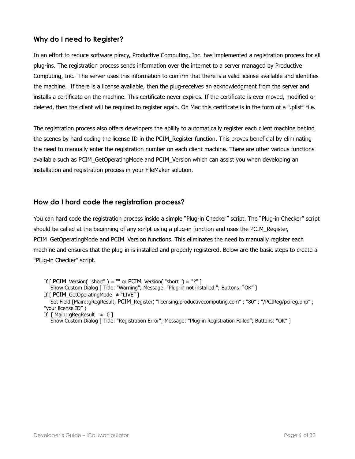## **Why do I need to Register?**

In an effort to reduce software piracy, Productive Computing, Inc. has implemented a registration process for all plug-ins. The registration process sends information over the internet to a server managed by Productive Computing, Inc. The server uses this information to confirm that there is a valid license available and identifies the machine. If there is a license available, then the plug-receives an acknowledgment from the server and installs a certificate on the machine. This certificate never expires. If the certificate is ever moved, modified or deleted, then the client will be required to register again. On Mac this certificate is in the form of a ".plist" file.

The registration process also offers developers the ability to automatically register each client machine behind the scenes by hard coding the license ID in the PCIM\_Register function. This proves beneficial by eliminating the need to manually enter the registration number on each client machine. There are other various functions available such as PCIM\_GetOperatingMode and PCIM\_Version which can assist you when developing an installation and registration process in your FileMaker solution.

## **How do I hard code the registration process?**

You can hard code the registration process inside a simple "Plug-in Checker" script. The "Plug-in Checker" script should be called at the beginning of any script using a plug-in function and uses the PCIM\_Register, PCIM GetOperatingMode and PCIM Version functions. This eliminates the need to manually register each machine and ensures that the plug-in is installed and properly registered. Below are the basic steps to create a "Plug-in Checker" script.

If  $\lceil$  PCIM\_Version( "short" ) = "" or PCIM\_Version( "short" ) = "?" ] Show Custom Dialog [ Title: "Warning"; Message: "Plug-in not installed."; Buttons: "OK" ] If [ PCIM\_GetOperatingMode ≠ "LIVE" ] Set Field [Main::gRegResult; PCIM\_Register( "licensing.productivecomputing.com" ; "80" ; "/PCIReg/pcireg.php" ; "your license ID" )

If  $[$  Main::gRegResult  $\neq 0$ ] Show Custom Dialog [ Title: "Registration Error"; Message: "Plug-in Registration Failed"; Buttons: "OK" ]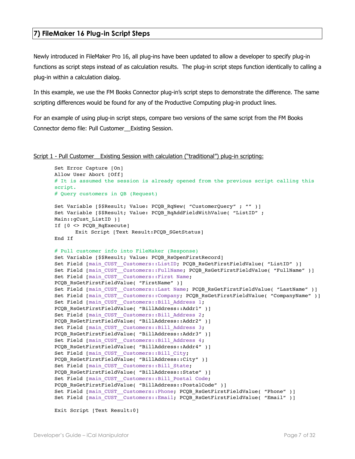#### <span id="page-6-0"></span>**7) FileMaker 16 Plug-in Script Steps**

Newly introduced in FileMaker Pro 16, all plug-ins have been updated to allow a developer to specify plug-in functions as script steps instead of as calculation results. The plug-in script steps function identically to calling a plug-in within a calculation dialog.

In this example, we use the FM Books Connector plug-in's script steps to demonstrate the difference. The same scripting differences would be found for any of the Productive Computing plug-in product lines.

For an example of using plug-in script steps, compare two versions of the same script from the FM Books Connector demo file: Pull Customer\_\_Existing Session.

#### Script 1 - Pull Customer Existing Session with calculation ("traditional") plug-in scripting:

```
Set Error Capture [On]
Allow User Abort [Off]
# It is assumed the session is already opened from the previous script calling this 
script.
# Query customers in QB (Request)
Set Variable [$$Result; Value: PCQB RqNew( "CustomerQuery" ; "" )]
Set Variable [$$Result; Value: PCQB RqAddFieldWithValue( "ListID" ;
Main::gCust_ListID )]
If [0 <> PCQB_RqExecute]
      Exit Script [Text Result: PCQB SGetStatus]
End If
# Pull customer info into FileMaker (Response)
Set Variable [$$Result; Value: PCQB RsOpenFirstRecord]
Set Field [main_CUST__Customers::ListID; PCQB_RsGetFirstFieldValue( "ListID" )]
Set Field [main_CUST__Customers::FullName; PCQB_RsGetFirstFieldValue( "FullName" )]
Set Field [main CUST Customers::First Name;
PCQB RsGetFirstFieldValue( "FirstName" )]
Set Field [main CUST Customers::Last Name; PCOB RsGetFirstFieldValue( "LastName" )]
Set Field [main CUST Customers::Company; PCQB RsGetFirstFieldValue( "CompanyName" )]
Set Field [main_CUST__Customers::Bill_Address 1;
PCQB RsGetFirstFieldValue( "BillAddress::Addr1" )]
Set Field [main CUST Customers::Bill Address 2;
PCQB RsGetFirstFieldValue( "BillAddress::Addr2" )]
Set Field [main CUST Customers::Bill Address 3;
PCQB_RsGetFirstFieldValue( "BillAddress::Addr3" )]
Set Field [main_CUST__Customers::Bill_Address 4;
PCQB RsGetFirstFieldValue( "BillAddress::Addr4" )]
Set Field [main CUST Customers::Bill City;
PCQB RsGetFirstFieldValue( "BillAddress::City" )]
Set Field [main CUST Customers::Bill State;
PCQB_RsGetFirstFieldValue( "BillAddress::State" )]
Set Field [main_CUST__Customers::Bill_Postal Code;
PCQB_RsGetFirstFieldValue( "BillAddress::PostalCode" )]
Set Field [main CUST Customers::Phone; PCQB RsGetFirstFieldValue( "Phone" )]
Set Field [main_CUST__Customers::Email; PCQB_RsGetFirstFieldValue( "Email" )]
```
Exit Script [Text Result:0]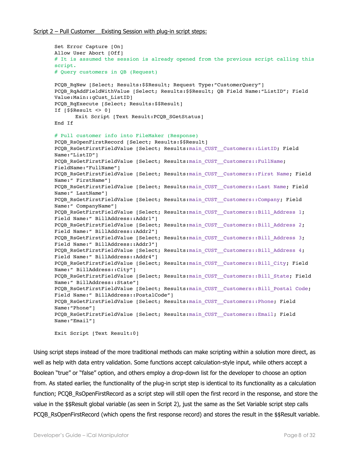```
Set Error Capture [On]
Allow User Abort [Off]
# It is assumed the session is already opened from the previous script calling this 
script.
# Query customers in QB (Request)
PCQB_RqNew [Select; Results:$$Result; Request Type:"CustomerQuery"]
PCQB RqAddFieldWithValue [Select; Results:$$Result; QB Field Name:"ListID"; Field
Value:Main::gCust_ListID]
PCQB RqExecute [Select; Results:$$Result]
If [$$Result <> 0]
      Exit Script [Text Result:PCQB_SGetStatus]
End If
# Pull customer info into FileMaker (Response)
PCQB RsOpenFirstRecord [Select; Results:$$Result]
PCOB RsGetFirstFieldValue [Select; Results:main CUST__Customers::ListID; Field
Name:"ListID"] 
PCQB_RsGetFirstFieldValue [Select; Results:main_CUST__Customers::FullName; 
FieldName:"FullName"]
PCQB_RsGetFirstFieldValue [Select; Results:main_CUST__Customers::First Name; Field 
Name:" FirstName"]
PCOB RsGetFirstFieldValue [Select; Results:main CUST__Customers::Last Name; Field
Name:" LastName"]
PCQB_RsGetFirstFieldValue [Select; Results:main_CUST__Customers::Company; Field 
Name:" CompanyName"]
PCQB RsGetFirstFieldValue [Select; Results:main CUST_Customers::Bill Address 1;
Field Name:" BillAddress::Addr1"]
PCOB RsGetFirstFieldValue [Select; Results:main CUST_Customers::Bill Address 2;
Field Name:" BillAddress::Addr2"]
PCQB_RsGetFirstFieldValue [Select; Results:main_CUST__Customers::Bill_Address 3; 
Field Name:" BillAddress::Addr3"]
PCQB RsGetFirstFieldValue [Select; Results:main CUST_Customers::Bill Address 4;
Field Name:" BillAddress::Addr4"]
PCOB RsGetFirstFieldValue [Select; Results:main CUST__Customers::Bill_City; Field
Name:" BillAddress::City"]
PCQB_RsGetFirstFieldValue [Select; Results:main_CUST__Customers::Bill_State; Field 
Name:" BillAddress::State"]
PCQB RsGetFirstFieldValue [Select; Results:main CUST__Customers::Bill_Postal Code;
Field Name:" BillAddress::PostalCode"]
PCOB RsGetFirstFieldValue [Select; Results:main CUST__Customers::Phone; Field
Name:"Phone"]
PCQB_RsGetFirstFieldValue [Select; Results:main_CUST__Customers::Email; Field 
Name:"Email"]
```
Exit Script [Text Result:0]

Using script steps instead of the more traditional methods can make scripting within a solution more direct, as well as help with data entry validation. Some functions accept calculation-style input, while others accept a Boolean "true" or "false" option, and others employ a drop-down list for the developer to choose an option from. As stated earlier, the functionality of the plug-in script step is identical to its functionality as a calculation function; PCQB\_RsOpenFirstRecord as a script step will still open the first record in the response, and store the value in the \$\$Result global variable (as seen in Script 2), just the same as the Set Variable script step calls PCQB\_RsOpenFirstRecord (which opens the first response record) and stores the result in the \$\$Result variable.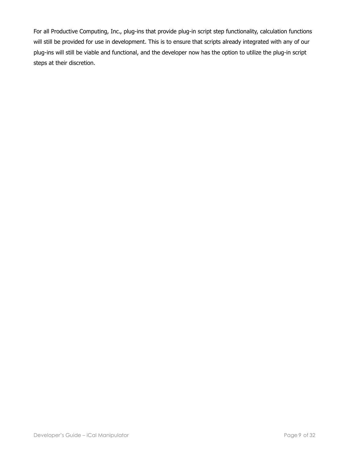For all Productive Computing, Inc., plug-ins that provide plug-in script step functionality, calculation functions will still be provided for use in development. This is to ensure that scripts already integrated with any of our plug-ins will still be viable and functional, and the developer now has the option to utilize the plug-in script steps at their discretion.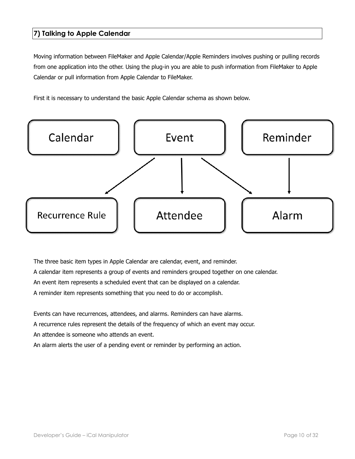## <span id="page-9-0"></span>**7) Talking to Apple Calendar**

Moving information between FileMaker and Apple Calendar/Apple Reminders involves pushing or pulling records from one application into the other. Using the plug-in you are able to push information from FileMaker to Apple Calendar or pull information from Apple Calendar to FileMaker.

First it is necessary to understand the basic Apple Calendar schema as shown below.



The three basic item types in Apple Calendar are calendar, event, and reminder.

A calendar item represents a group of events and reminders grouped together on one calendar.

An event item represents a scheduled event that can be displayed on a calendar.

A reminder item represents something that you need to do or accomplish.

Events can have recurrences, attendees, and alarms. Reminders can have alarms.

A recurrence rules represent the details of the frequency of which an event may occur.

An attendee is someone who attends an event.

An alarm alerts the user of a pending event or reminder by performing an action.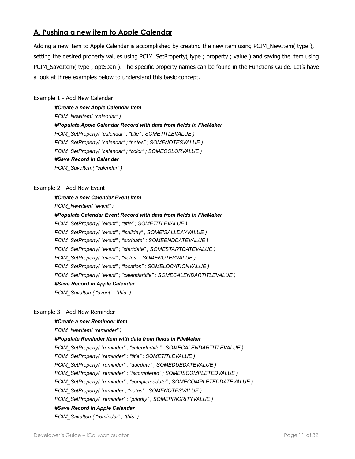## <span id="page-10-0"></span>**A. Pushing a new item to Apple Calendar**

Adding a new item to Apple Calendar is accomplished by creating the new item using PCIM\_NewItem( type ), setting the desired property values using PCIM\_SetProperty( type ; property ; value ) and saving the item using PCIM\_SaveItem( type ; optSpan ). The specific property names can be found in the Functions Guide. Let's have a look at three examples below to understand this basic concept.

#### Example 1 - Add New Calendar

*#Create a new Apple Calendar Item PCIM\_NewItem( "calendar" ) #Populate Apple Calendar Record with data from fields in FIleMaker PCIM\_SetProperty( "calendar" ; "title" ; SOMETITLEVALUE ) PCIM\_SetProperty( "calendar" ; "notes" ; SOMENOTESVALUE ) PCIM\_SetProperty( "calendar" ; "color" ; SOMECOLORVALUE ) #Save Record in Calendar PCIM\_SaveItem( "calendar" )*

#### Example 2 - Add New Event

#### *#Create a new Calendar Event Item*

*PCIM\_NewItem( "event" ) #Populate Calendar Event Record with data from fields in FIleMaker PCIM\_SetProperty( "event" ; "title" ; SOMETITLEVALUE ) PCIM\_SetProperty( "event" ; "isallday" ; SOMEISALLDAYVALUE ) PCIM\_SetProperty( "event" ; "enddate" ; SOMEENDDATEVALUE ) PCIM\_SetProperty( "event" ; "startdate" ; SOMESTARTDATEVALUE ) PCIM\_SetProperty( "event" ; "notes" ; SOMENOTESVALUE ) PCIM\_SetProperty( "event" ; "location" ; SOMELOCATIONVALUE ) PCIM\_SetProperty( "event" ; "calendartitle" ; SOMECALENDARTITLEVALUE ) #Save Record in Apple Calendar PCIM\_SaveItem( "event" ; "this" )* 

#### Example 3 - Add New Reminder

#### *#Create a new Reminder Item*

*PCIM\_NewItem( "reminder" )* 

#### *#Populate Reminder item with data from fields in FIleMaker*

*PCIM\_SetProperty( "reminder" ; "calendartitle" ; SOMECALENDARTITLEVALUE )* 

*PCIM\_SetProperty( "reminder" ; "title" ; SOMETITLEVALUE )* 

*PCIM\_SetProperty( "reminder" ; "duedate" ; SOMEDUEDATEVALUE )* 

*PCIM\_SetProperty( "reminder" ; "iscompleted" ; SOMEISCOMPLETEDVALUE )* 

*PCIM\_SetProperty( "reminder" ; "completeddate" ; SOMECOMPLETEDDATEVALUE )* 

*PCIM\_SetProperty( "reminder ; "notes" ; SOMENOTESVALUE )* 

*PCIM\_SetProperty( "reminder" ; "priority" ; SOMEPRIORITYVALUE )* 

#### *#Save Record in Apple Calendar*

*PCIM\_SaveItem( "reminder" ; "this" )*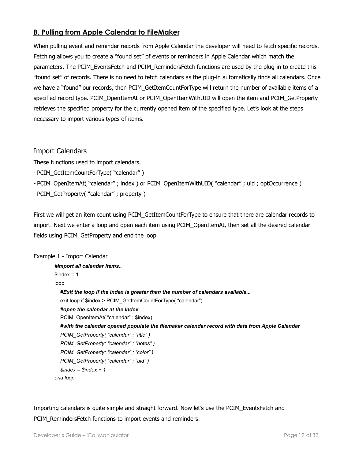## <span id="page-11-0"></span>**B. Pulling from Apple Calendar to FileMaker**

When pulling event and reminder records from Apple Calendar the developer will need to fetch specific records. Fetching allows you to create a "found set" of events or reminders in Apple Calendar which match the parameters. The PCIM\_EventsFetch and PCIM\_RemindersFetch functions are used by the plug-in to create this "found set" of records. There is no need to fetch calendars as the plug-in automatically finds all calendars. Once we have a "found" our records, then PCIM\_GetItemCountForType will return the number of available items of a specified record type. PCIM\_OpenItemAt or PCIM\_OpenItemWithUID will open the item and PCIM\_GetProperty retrieves the specified property for the currently opened item of the specified type. Let's look at the steps necessary to import various types of items.

## Import Calendars

These functions used to import calendars.

- PCIM\_GetItemCountForType( "calendar" )
- PCIM\_OpenItemAt( "calendar" ; index ) or PCIM\_OpenItemWithUID( "calendar" ; uid ; optOccurrence )
- PCIM\_GetProperty( "calendar" ; property )

First we will get an item count using PCIM\_GetItemCountForType to ensure that there are calendar records to import. Next we enter a loop and open each item using PCIM\_OpenItemAt, then set all the desired calendar fields using PCIM\_GetProperty and end the loop.

#### Example 1 - Import Calendar

```
#Import all calendar items.. 
\text{Sindex} = 1loop 
   #Exit the loop if the Index is greater than the number of calendars available... 
  exit loop if $index > PCIM_GetItemCountForType( "calendar")
   #open the calendar at the Index 
   PCIM_OpenItemAt( "calendar" ; $index) 
   #with the calendar opened populate the filemaker calendar record with data from Apple Calendar
   PCIM_GetProperty( "calendar" ; "title" ) 
   PCIM_GetProperty( "calendar" ; "notes" ) 
   PCIM_GetProperty( "calendar" ; "color" ) 
   PCIM_GetProperty( "calendar" ; "uid" ) 
   $index = $index + 1 
end loop
```
Importing calendars is quite simple and straight forward. Now let's use the PCIM\_EventsFetch and PCIM RemindersFetch functions to import events and reminders.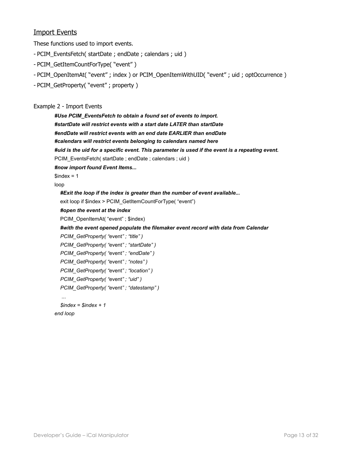## Import Events

These functions used to import events.

- PCIM\_EventsFetch( startDate ; endDate ; calendars ; uid )
- PCIM\_GetItemCountForType( "event" )
- PCIM\_OpenItemAt( "event" ; index ) or PCIM\_OpenItemWithUID( "event" ; uid ; optOccurrence )
- PCIM\_GetProperty( "event" ; property )

#### Example 2 - Import Events

*#Use PCIM\_EventsFetch to obtain a found set of events to import. #startDate will restrict events with a start date LATER than startDate #endDate will restrict events with an end date EARLIER than endDate #calendars will restrict events belonging to calendars named here #uid is the uid for a specific event. This parameter is used if the event is a repeating event.*  PCIM\_EventsFetch( startDate ; endDate ; calendars ; uid ) *#now import found Event Items...*   $$index = 1$ loop  *#Exit the loop if the index is greater than the number of event available...*  exit loop if \$index > PCIM\_GetItemCountForType( "event")  *#open the event at the index*  PCIM\_OpenItemAt( "event" ; \$index)  *#with the event opened populate the filemaker event record with data from Calendar PCIM\_GetProperty( "*event*" ; "title" ) PCIM\_GetProperty( "*event*" ; "startDate" ) PCIM\_GetProperty( "*event*" ; "endDate" ) PCIM\_GetProperty( "*event*" ; "notes" ) PCIM\_GetProperty( "*event*" ; "location" ) PCIM\_GetProperty( "*event*" ; "uid" ) PCIM\_GetProperty( "*event*" ; "datestamp" ) ... \$index = \$index + 1 end loop*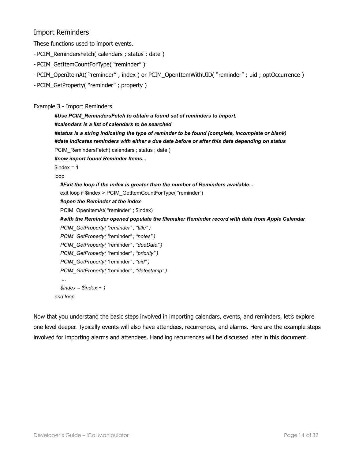## Import Reminders

These functions used to import events.

- PCIM\_RemindersFetch( calendars ; status ; date )
- PCIM\_GetItemCountForType( "reminder" )
- PCIM\_OpenItemAt( "reminder" ; index ) or PCIM\_OpenItemWithUID( "reminder" ; uid ; optOccurrence )
- PCIM\_GetProperty( "reminder" ; property )

#### Example 3 - Import Reminders

```
#Use PCIM_RemindersFetch to obtain a found set of reminders to import. 
#calendars is a list of calendars to be searched 
#status is a string indicating the type of reminder to be found (complete, incomplete or blank) 
#date indicates reminders with either a due date before or after this date depending on status 
PCIM_RemindersFetch( calendars ; status ; date )
#now import found Reminder Items... 
$index = 1loop 
   #Exit the loop if the index is greater than the number of Reminders available... 
  exit loop if $index > PCIM_GetItemCountForType( "reminder")
   #open the Reminder at the index 
   PCIM_OpenItemAt( "reminder" ; $index) 
   #with the Reminder opened populate the filemaker Reminder record with data from Apple Calendar
   PCIM_GetProperty( "reminder" ; "title" ) 
   PCIM_GetProperty( "reminder" ; "notes" ) 
   PCIM_GetProperty( "reminder" ; "dueDate" ) 
   PCIM_GetProperty( "reminder" ; "priority" ) 
   PCIM_GetProperty( "reminder" ; "uid" ) 
   PCIM_GetProperty( "reminder" ; "datestamp" ) 
 ... 
   $index = $index + 1 
end loop
```
Now that you understand the basic steps involved in importing calendars, events, and reminders, let's explore one level deeper. Typically events will also have attendees, recurrences, and alarms. Here are the example steps involved for importing alarms and attendees. Handling recurrences will be discussed later in this document.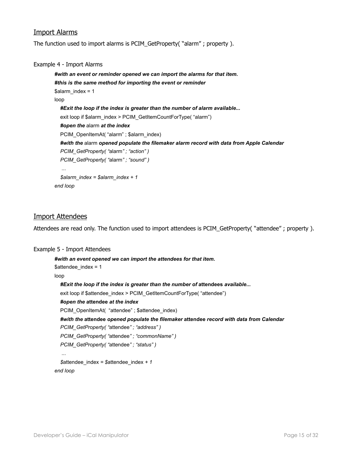## Import Alarms

The function used to import alarms is PCIM\_GetProperty( "alarm" ; property ).

#### Example 4 - Import Alarms

```
#with an event or reminder opened we can import the alarms for that item. 
#this is the same method for importing the event or reminder
$alarm index = 1
loop 
   #Exit the loop if the index is greater than the number of alarm available... 
  exit loop if $alarm_index > PCIM_GetItemCountForType( "alarm")
   #open the alarm at the index 
  PCIM_OpenItemAt( "alarm" ; $alarm_index)
   #with the alarm opened populate the filemaker alarm record with data from Apple Calendar
   PCIM_GetProperty( "alarm" ; "action" ) 
   PCIM_GetProperty( "alarm" ; "sound" ) 
   ... 
   $alarm_index = $alarm_index + 1 
end loop
```
#### Import Attendees

Attendees are read only. The function used to import attendees is PCIM\_GetProperty( "attendee" ; property ).

#### Example 5 - Import Attendees

```
#with an event opened we can import the attendees for that item. 
$attendee_index = 1 
loop 
   #Exit the loop if the index is greater than the number of attendees available... 
  exit loop if $attendee_index > PCIM_GetItemCountForType( "attendee")
   #open the attendee at the index 
  PCIM_OpenItemAt( "attendee" ; $attendee_index)
   #with the attendee opened populate the filemaker attendee record with data from Calendar
   PCIM_GetProperty( "attendee" ; "address" ) 
   PCIM_GetProperty( "attendee" ; "commonName" ) 
   PCIM_GetProperty( "attendee" ; "status" ) 
 ... 
   $attendee_index = $attendee_index + 1 
end loop
```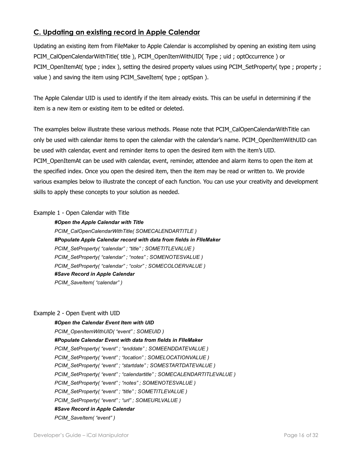## <span id="page-15-0"></span>**C. Updating an existing record in Apple Calendar**

Updating an existing item from FileMaker to Apple Calendar is accomplished by opening an existing item using PCIM\_CalOpenCalendarWithTitle( title ), PCIM\_OpenItemWithUID( Type ; uid ; optOccurrence ) or PCIM\_OpenItemAt( type ; index ), setting the desired property values using PCIM\_SetProperty( type ; property ; value ) and saving the item using PCIM\_SaveItem( type ; optSpan ).

The Apple Calendar UID is used to identify if the item already exists. This can be useful in determining if the item is a new item or existing item to be edited or deleted.

The examples below illustrate these various methods. Please note that PCIM\_CalOpenCalendarWithTitle can only be used with calendar items to open the calendar with the calendar's name. PCIM\_OpenItemWithUID can be used with calendar, event and reminder items to open the desired item with the item's UID. PCIM\_OpenItemAt can be used with calendar, event, reminder, attendee and alarm items to open the item at the specified index. Once you open the desired item, then the item may be read or written to. We provide various examples below to illustrate the concept of each function. You can use your creativity and development skills to apply these concepts to your solution as needed.

#### Example 1 - Open Calendar with Title

#### *#Open the Apple Calendar with Title*

*PCIM\_CalOpenCalendarWithTitle( SOMECALENDARTITLE ) #Populate Apple Calendar record with data from fields in FIleMaker PCIM\_SetProperty( "calendar" ; "title" ; SOMETITLEVALUE ) PCIM\_SetProperty( "calendar" ; "notes" ; SOMENOTESVALUE ) PCIM\_SetProperty( "calendar" ; "color" ; SOMECOLOERVALUE ) #Save Record in Apple Calendar PCIM\_SaveItem( "calendar" )*

#### Example 2 - Open Event with UID

*#Open the Calendar Event Item with UID PCIM\_OpenItemWithUID( "event" ; SOMEUID ) #Populate Calendar Event with data from fields in FIleMaker PCIM\_SetProperty( "event" ; "enddate" ; SOMEENDDATEVALUE ) PCIM\_SetProperty( "event" ; "location" ; SOMELOCATIONVALUE ) PCIM\_SetProperty( "event" ; "startdate" ; SOMESTARTDATEVALUE ) PCIM\_SetProperty( "event" ; "calendartitle" ; SOMECALENDARTITLEVALUE ) PCIM\_SetProperty( "event" ; "notes" ; SOMENOTESVALUE ) PCIM\_SetProperty( "event" ; "title" ; SOMETITLEVALUE ) PCIM\_SetProperty( "event" ; "url" ; SOMEURLVALUE ) #Save Record in Apple Calendar PCIM\_SaveItem( "event" )*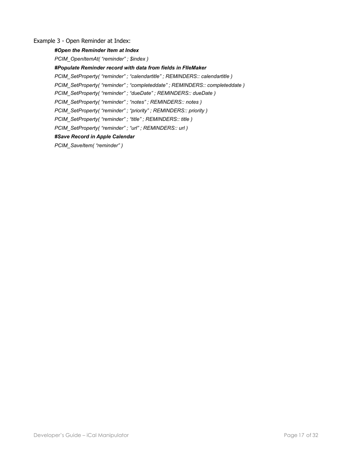#### Example 3 - Open Reminder at Index:

#### *#Open the Reminder Item at Index*

*PCIM\_OpenItemAt( "reminder" ; \$index )* 

*#Populate Reminder record with data from fields in FIleMaker* 

*PCIM\_SetProperty( "reminder" ; "calendartitle" ; REMINDERS:: calendartitle )* 

*PCIM\_SetProperty( "reminder" ; "completeddate" ; REMINDERS:: completeddate )* 

*PCIM\_SetProperty( "reminder" ; "dueDate" ; REMINDERS:: dueDate )* 

*PCIM\_SetProperty( "reminder" ; "notes" ; REMINDERS:: notes )* 

*PCIM\_SetProperty( "reminder" ; "priority" ; REMINDERS:: priority )* 

*PCIM\_SetProperty( "reminder" ; "title" ; REMINDERS:: title )* 

*PCIM\_SetProperty( "reminder" ; "url" ; REMINDERS:: url )* 

#### *#Save Record in Apple Calendar*

*PCIM\_SaveItem( "reminder" )*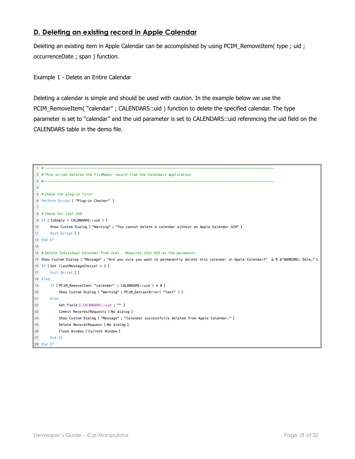## <span id="page-17-0"></span>**D. Deleting an existing record in Apple Calendar**

Deleting an existing item in Apple Calendar can be accomplished by using PCIM\_RemoveItem( type ; uid ; occurrenceDate ; span ) function.

Example 1 - Delete an Entire Calendar

Deleting a calendar is simple and should be used with caution. In the example below we use the PCIM\_RemoveItem( "calendar" ; CALENDARS::uid ) function to delete the specified calendar. The type parameter is set to "calendar" and the uid parameter is set to CALENDARS::uid referencing the uid field on the CALENDARS table in the demo file.

```
2 # This script deletes the FileMaker record from the Calendars application
3 + 4 -\overline{A}5 # Check the plug-in first
6 Perform Script [ "Plug-in Checker" ]
\overline{7}8 # Check for iCal UID
9 If [ IsEmpty ( CALENDARS::uid ) ]
10<sup>1</sup>Show Custom Dialog [ "Warning" ; "You cannot delete a calendar without an Apple Calendar UID" ]
11
      Exit Script [ ]
12 End If
1314 # Delete Individual Calendar from iCal. Requires iCal UID as the parameter.
15 Show Custom Dialog [ "Message" ; "Are you sure you want to permanently delete this calendar in Apple Calendar?" & 1 & "WARNING: Dele..." ]
16 If [ Get (LastMessageChoice) = 1 ]
17<sup>17</sup>Exit Script [ ]
18 Else
19
    If [ PCiM_RemoveItem( "calendar" ; CALENDARS::uid ) ≠ 0 ]
20
          Show Custom Dialog [ "Warning" ; PCiM_GetLastError( "text" ) ]
21 Else
22
          Set Field [ CALENDARS::uid ; "" ]
          Commit Records/Requests [ No dialog ]
23 -24Show Custom Dialog [ "Message" ; "Calendar successfully deleted from Apple Calendar." ]
25
           Delete Record/Request [ No dialog ]
26
           Close Window [ Current Window ]
27
    End If
28 End If
```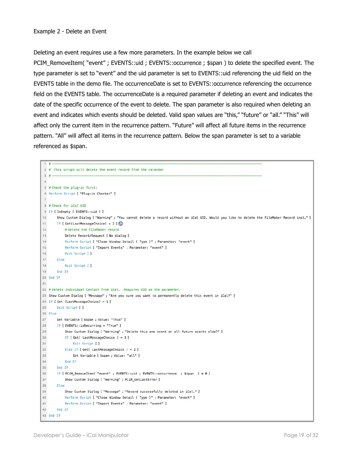Deleting an event requires use a few more parameters. In the example below we call

PCIM RemoveItem( "event" ; EVENTS::uid ; EVENTS::occurrence ; \$span ) to delete the specified event. The type parameter is set to "event" and the uid parameter is set to EVENTS::uid referencing the uid field on the EVENTS table in the demo file. The occurrenceDate is set to EVENTS::occurrence referencing the occurrence field on the EVENTS table. The occurrenceDate is a required parameter if deleting an event and indicates the date of the specific occurrence of the event to delete. The span parameter is also required when deleting an event and indicates which events should be deleted. Valid span values are "this," "future" or "all." "This" will affect only the current item in the recurrence pattern. "Future" will affect all future items in the recurrence pattern. "All" will affect all items in the recurrence pattern. Below the span parameter is set to a variable referenced as \$span.

```
1 \pm 12 # This script will delete the event record from the calendar
 3# -\Delta5 # Check the plug-in first:
 6 Perform Script [ "Plug-in Checker" ]
 8 # Check for iCal UID
 9 If [ IsEmpty ( EVENTS::uid ) ]
      Show Custom Dialog [ "Warning" ; "You cannot delete a record without an iCal UID. Would you like to delete the FileMaker Record inst..." ]
10<sup>1</sup>11<sup>1</sup>If [ Get(LastMessageChoice) = 2 ]
12<sup>12</sup># Delete the FileMaker record
13<sup>°</sup>Delete Record/Request [ No dialog ]
14Perform Script [ "Close Window Detail ( Type )" ; Parameter: "event" ]
15<sup>15</sup>Perform Script [ "Import Events" ; Parameter: "event" ]
16
           Exit Script [ ]
     Else
17
18
           Exit Script [ ]
19
     End If
20 End If
2122 # Delete Individual Contact from iCal. Requires UID as the parameter.
23 Show Custom Dialog [ "Message" ; "Are you sure you want to permanently delete this event in iCal?" ]
24 If [ Get (LastMessageChoice) = 1 ]
25
      Exit Script [ ]
26 Else
\mathbf{27}Set Variable [ $span ; Value: "this" ]
28
     If [ EVENTS::isRecurring = "True" ]
29
          Show Custom Dialog [ "Warning" ; "Delete this one event or all future events also?" ]
30
          If [ Get( LastMessageChoice ) = 3 ]
31Exit Script [ ]
32
         Else If [ Get ( LastMessageChoice ) = 2 ]
33
               Set Variable [ $span ; Value: "all" ]
34End If
35
       End If
36
      If [ PCiM_RemoveItem( "event" ; EVENTS::uid ; EVENTS::occurrence ; $span ) ≠ 0 ]
37
            Show Custom Dialog [ "Warning" ; PCiM_GetLastError ]
38
      Else
39
            Show Custom Dialog [ "Message" ; "Record successfully deleted in iCal." ]
40<sub>1</sub>Perform Script [ "Close Window Detail ( Type )" ; Parameter: "event" ]
41
           Perform Script [ "Import Events" ; Parameter: "event" ]
42
      End If
43 End If
```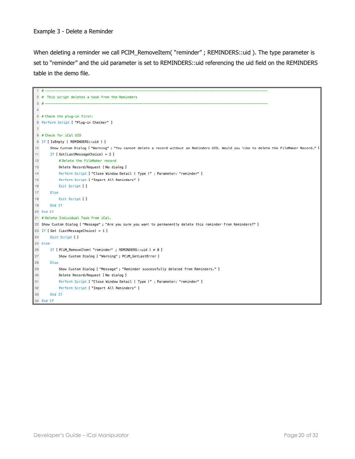When deleting a reminder we call PCIM\_RemoveItem( "reminder" ; REMINDERS::uid ). The type parameter is set to "reminder" and the uid parameter is set to REMINDERS::uid referencing the uid field on the REMINDERS table in the demo file.

```
1 + 4 = 12 # This script deletes a task from the Reminders
3# -\overline{4}5 # Check the plug-in first:
 6 Perform Script [ "Plug-in Checker" ]
 8 # Check for iCal UID
 9 If [ IsEmpty ( REMINDERS::uid ) ]
     Show Custom Dialog [ "Warning" ; "You cannot delete a record without an Reminders UID. Would you like to delete the FileMaker Record…" ]
10<sup>10</sup>11 If [ Get(LastMessageChoice) = 2 ]
12<sub>12</sub># Delete the FileMaker record
13Delete Record/Request [ No dialog ]
14Perform Script [ "Close Window Detail ( Type )" ; Parameter: "reminder" ]
15Perform Script [ "Import All Reminders" ]
16
          Exit Script [ ]
     Else
17
18Exit Script [ ]
19
     End If
20 End If
21 # Delete Individual Task from iCal.
22 Show Custom Dialog [ "Message" ; "Are you sure you want to permanently delete this reminder from Reminders?" ]
23 If [ Get (LastMessageChoice) = 1 ]
24Exit Script [ ]
25 Else
26
      If [ PCiM_RemoveItem( "reminder" ; REMINDERS::uid ) ≠ 0 ]
27
           Show Custom Dialog [ "Warning" ; PCiM_GetLastError ]
28
     Else
           Show Custom Dialog [ "Message" ; "Reminder successfully deleted from Reminders." ]
29
30<sub>o</sub>Delete Record/Request [ No dialog ]
31Perform Script [ "Close Window Detail ( Type )" ; Parameter: "reminder" ]
32\phantom{a}Perform Script [ "Import All Reminders" ]
33
      End If
34 End If
```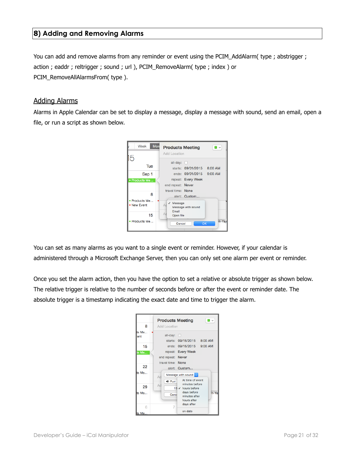## <span id="page-20-0"></span>**8) Adding and Removing Alarms**

You can add and remove alarms from any reminder or event using the PCIM\_AddAlarm( type ; abstrigger ; action ; eaddr ; reltrigger ; sound ; url ), PCIM\_RemoveAlarm( type ; index ) or PCIM\_RemoveAllAlarmsFrom( type ).

#### Adding Alarms

Alarms in Apple Calendar can be set to display a message, display a message with sound, send an email, open a file, or run a script as shown below.



You can set as many alarms as you want to a single event or reminder. However, if your calendar is administered through a Microsoft Exchange Server, then you can only set one alarm per event or reminder.

Once you set the alarm action, then you have the option to set a relative or absolute trigger as shown below. The relative trigger is relative to the number of seconds before or after the event or reminder date. The absolute trigger is a timestamp indicating the exact date and time to trigger the alarm.

|              | <b>Products Meeting</b> |                                                           | ⊟ ∽   |
|--------------|-------------------------|-----------------------------------------------------------|-------|
| 8            | <b>Add Location</b>     |                                                           |       |
| ts Me<br>ent | all-day:                | n<br>starts: 09/15/2015 8:00 AM                           |       |
| 15           |                         | ends: 09/15/2015 9:00 AM                                  |       |
| s Me         |                         | repeat: Every Week                                        |       |
|              | end repeat: Never       |                                                           |       |
|              | travel time: None       |                                                           |       |
| 22           |                         | alert: Custom                                             |       |
| s Me         | Ad                      | Message with sound                                        |       |
| 29           | 4) Purr<br>Ad           | At time of event<br>minutes before<br>15 √ hours before   |       |
| s Me<br>R    | Canc<br>7               | days before<br>minutes after<br>hours after<br>days after | ri-Ya |
| ts Me…       |                         | on date                                                   |       |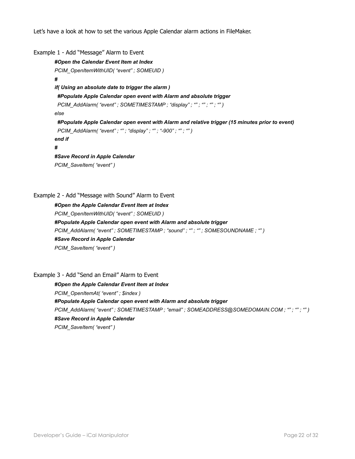Let's have a look at how to set the various Apple Calendar alarm actions in FileMaker.

```
Example 1 - Add "Message" Alarm to Event 
        #Open the Calendar Event Item at Index 
        PCIM_OpenItemWithUID( "event" ; SOMEUID ) 
        # 
        if( Using an absolute date to trigger the alarm ) 
          #Populate Apple Calendar open event with Alarm and absolute trigger 
          PCIM_AddAlarm( "event" ; SOMETIMESTAMP ; "display" ; "" ; "" ; "" ; "" ) 
        else 
          #Populate Apple Calendar open event with Alarm and relative trigger (15 minutes prior to event) 
          PCIM_AddAlarm( "event" ; "" ; "display" ; "" ; "-900" ; "" ; "" ) 
        end if 
        # 
        #Save Record in Apple Calendar
        PCIM_SaveItem( "event" )
```
#### Example 2 - Add "Message with Sound" Alarm to Event

*#Open the Apple Calendar Event Item at Index PCIM\_OpenItemWithUID( "event" ; SOMEUID ) #Populate Apple Calendar open event with Alarm and absolute trigger PCIM\_AddAlarm( "event" ; SOMETIMESTAMP ; "sound" ; "" ; "" ; SOMESOUNDNAME ; "" ) #Save Record in Apple Calendar PCIM\_SaveItem( "event" )* 

#### Example 3 - Add "Send an Email" Alarm to Event

*#Open the Apple Calendar Event Item at Index PCIM\_OpenItemAt( "event" ; \$index ) #Populate Apple Calendar open event with Alarm and absolute trigger PCIM\_AddAlarm( "event" ; SOMETIMESTAMP ; "email" ; SOMEADDRESS@SOMEDOMAIN.COM ; "" ; "" ; "" ) #Save Record in Apple Calendar PCIM\_SaveItem( "event" )*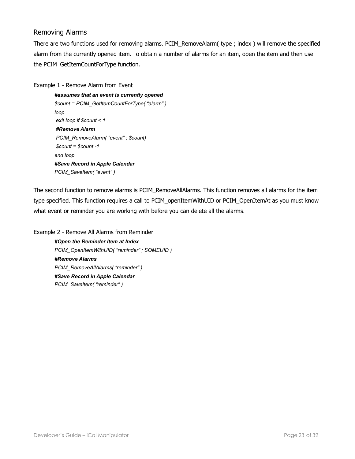## Removing Alarms

There are two functions used for removing alarms. PCIM\_RemoveAlarm( type ; index ) will remove the specified alarm from the currently opened item. To obtain a number of alarms for an item, open the item and then use the PCIM\_GetItemCountForType function.

Example 1 - Remove Alarm from Event

```
#assumes that an event is currently opened 
$count = PCIM_GetItemCountForType( "alarm" ) 
loop 
 exit loop if $count < 1 
#Remove Alarm 
PCIM_RemoveAlarm( "event" ; $count) 
 $count = $count -1 
end loop 
#Save Record in Apple Calendar
PCIM_SaveItem( "event" )
```
The second function to remove alarms is PCIM\_RemoveAllAlarms. This function removes all alarms for the item type specified. This function requires a call to PCIM\_openItemWithUID or PCIM\_OpenItemAt as you must know what event or reminder you are working with before you can delete all the alarms.

Example 2 - Remove All Alarms from Reminder *#Open the Reminder Item at Index PCIM\_OpenItemWithUID( "reminder" ; SOMEUID ) #Remove Alarms PCIM\_RemoveAllAlarms( "reminder" ) #Save Record in Apple Calendar PCIM\_SaveItem( "reminder" )*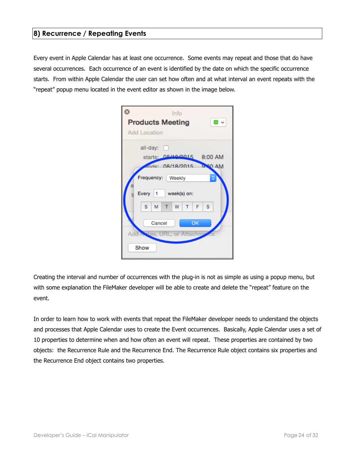## <span id="page-23-0"></span>**8) Recurrence / Repeating Events**

Every event in Apple Calendar has at least one occurrence. Some events may repeat and those that do have several occurrences. Each occurrence of an event is identified by the date on which the specific occurrence starts. From within Apple Calendar the user can set how often and at what interval an event repeats with the "repeat" popup menu located in the event editor as shown in the image below.

| Info                                           |
|------------------------------------------------|
| <b>Products Meeting</b><br>□ ▽                 |
| Add Location                                   |
| all-day: $\Box$                                |
| starts; 09/19/0015 8:00 AM                     |
| ands: 08/18/2015 430 AM                        |
| Frequency: Weekly<br>٥                         |
| Every 1 week(s) on:                            |
| W<br>s.<br>M<br>F<br>-S<br>т<br>т              |
| Cancel<br>OK<br>Add Notes, URL, or Attachmouts |
| Show                                           |

Creating the interval and number of occurrences with the plug-in is not as simple as using a popup menu, but with some explanation the FileMaker developer will be able to create and delete the "repeat" feature on the event.

In order to learn how to work with events that repeat the FileMaker developer needs to understand the objects and processes that Apple Calendar uses to create the Event occurrences. Basically, Apple Calendar uses a set of 10 properties to determine when and how often an event will repeat. These properties are contained by two objects: the Recurrence Rule and the Recurrence End. The Recurrence Rule object contains six properties and the Recurrence End object contains two properties.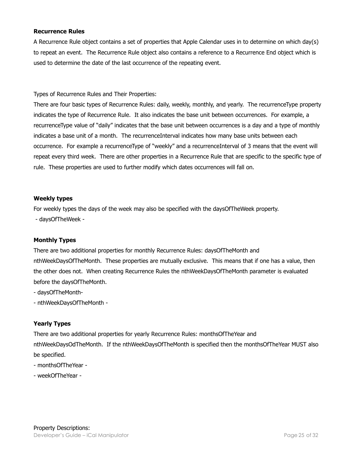#### **Recurrence Rules**

A Recurrence Rule object contains a set of properties that Apple Calendar uses in to determine on which day(s) to repeat an event. The Recurrence Rule object also contains a reference to a Recurrence End object which is used to determine the date of the last occurrence of the repeating event.

Types of Recurrence Rules and Their Properties:

There are four basic types of Recurrence Rules: daily, weekly, monthly, and yearly. The recurrenceType property indicates the type of Recurrence Rule. It also indicates the base unit between occurrences. For example, a recurrenceType value of "daily" indicates that the base unit between occurrences is a day and a type of monthly indicates a base unit of a month. The recurrenceInterval indicates how many base units between each occurrence. For example a recurrenceType of "weekly" and a recurrenceInterval of 3 means that the event will repeat every third week. There are other properties in a Recurrence Rule that are specific to the specific type of rule. These properties are used to further modify which dates occurrences will fall on.

#### **Weekly types**

For weekly types the days of the week may also be specified with the daysOfTheWeek property.

- daysOfTheWeek -

#### **Monthly Types**

There are two additional properties for monthly Recurrence Rules: daysOfTheMonth and nthWeekDaysOfTheMonth. These properties are mutually exclusive. This means that if one has a value, then the other does not. When creating Recurrence Rules the nthWeekDaysOfTheMonth parameter is evaluated before the daysOfTheMonth.

- daysOfTheMonth-

- nthWeekDaysOfTheMonth -

## **Yearly Types**

There are two additional properties for yearly Recurrence Rules: monthsOfTheYear and nthWeekDaysOdTheMonth. If the nthWeekDaysOfTheMonth is specified then the monthsOfTheYear MUST also be specified.

- monthsOfTheYear -
- weekOfTheYear -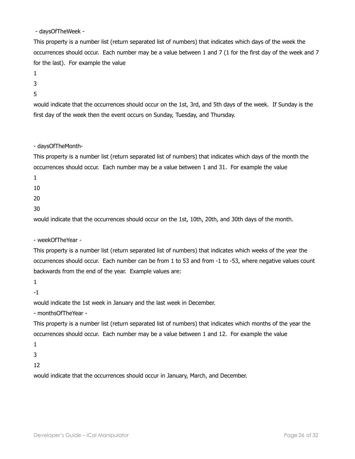- daysOfTheWeek -

This property is a number list (return separated list of numbers) that indicates which days of the week the occurrences should occur. Each number may be a value between 1 and 7 (1 for the first day of the week and 7 for the last). For example the value

- 1
- 3
- 5

would indicate that the occurrences should occur on the 1st, 3rd, and 5th days of the week. If Sunday is the first day of the week then the event occurs on Sunday, Tuesday, and Thursday.

- daysOfTheMonth-

This property is a number list (return separated list of numbers) that indicates which days of the month the occurrences should occur. Each number may be a value between 1 and 31. For example the value

1

10

20

30

would indicate that the occurrences should occur on the 1st, 10th, 20th, and 30th days of the month.

- weekOfTheYear -

This property is a number list (return separated list of numbers) that indicates which weeks of the year the occurrences should occur. Each number can be from 1 to 53 and from -1 to -53, where negative values count backwards from the end of the year. Example values are:

1

-1

would indicate the 1st week in January and the last week in December.

- monthsOfTheYear -

This property is a number list (return separated list of numbers) that indicates which months of the year the occurrences should occur. Each number may be a value between 1 and 12. For example the value

1

3

12

would indicate that the occurrences should occur in January, March, and December.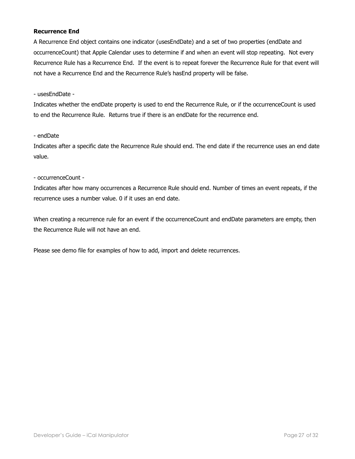#### **Recurrence End**

A Recurrence End object contains one indicator (usesEndDate) and a set of two properties (endDate and occurrenceCount) that Apple Calendar uses to determine if and when an event will stop repeating. Not every Recurrence Rule has a Recurrence End. If the event is to repeat forever the Recurrence Rule for that event will not have a Recurrence End and the Recurrence Rule's hasEnd property will be false.

- usesEndDate -

Indicates whether the endDate property is used to end the Recurrence Rule, or if the occurrenceCount is used to end the Recurrence Rule. Returns true if there is an endDate for the recurrence end.

#### - endDate

Indicates after a specific date the Recurrence Rule should end. The end date if the recurrence uses an end date value.

- occurrenceCount -

Indicates after how many occurrences a Recurrence Rule should end. Number of times an event repeats, if the recurrence uses a number value. 0 if it uses an end date.

When creating a recurrence rule for an event if the occurrenceCount and endDate parameters are empty, then the Recurrence Rule will not have an end.

Please see demo file for examples of how to add, import and delete recurrences.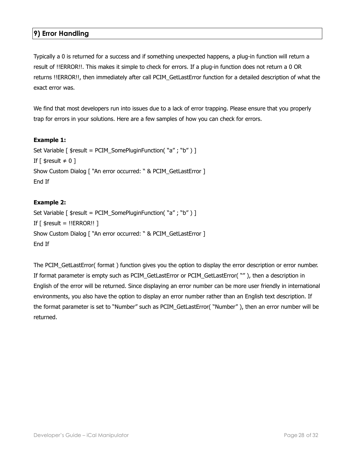## <span id="page-27-0"></span>**9) Error Handling**

Typically a 0 is returned for a success and if something unexpected happens, a plug-in function will return a result of !!ERROR!!. This makes it simple to check for errors. If a plug-in function does not return a 0 OR returns !!ERROR!!, then immediately after call PCIM\_GetLastError function for a detailed description of what the exact error was.

We find that most developers run into issues due to a lack of error trapping. Please ensure that you properly trap for errors in your solutions. Here are a few samples of how you can check for errors.

#### **Example 1:**

```
Set Variable [ $result = PCIM_SomePluginFunction( "a" ; "b" ) ] 
If \lceil $result \neq 0 \rceilShow Custom Dialog [ "An error occurred: " & PCIM_GetLastError ] 
End If
```
#### **Example 2:**

Set Variable [ \$result = PCIM\_SomePluginFunction( "a" ; "b" ) ] If  $\lceil$  \$result = !!ERROR!!  $\rceil$ Show Custom Dialog [ "An error occurred: " & PCIM\_GetLastError ] End If

The PCIM\_GetLastError( format ) function gives you the option to display the error description or error number. If format parameter is empty such as PCIM\_GetLastError or PCIM\_GetLastError( "" ), then a description in English of the error will be returned. Since displaying an error number can be more user friendly in international environments, you also have the option to display an error number rather than an English text description. If the format parameter is set to "Number" such as PCIM\_GetLastError( "Number" ), then an error number will be returned.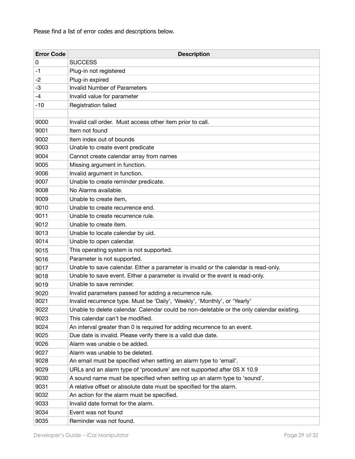Please find a list of error codes and descriptions below.

| <b>Error Code</b> | <b>Description</b>                                                                        |
|-------------------|-------------------------------------------------------------------------------------------|
| 0                 | <b>SUCCESS</b>                                                                            |
| -1                | Plug-in not registered                                                                    |
| -2                | Plug-in expired                                                                           |
| -3                | <b>Invalid Number of Parameters</b>                                                       |
| -4                | Invalid value for parameter                                                               |
| $-10$             | Registration failed                                                                       |
|                   |                                                                                           |
| 9000              | Invalid call order. Must access other item prior to call.                                 |
| 9001              | Item not found                                                                            |
| 9002              | Item index out of bounds                                                                  |
| 9003              | Unable to create event predicate                                                          |
| 9004              | Cannot create calendar array from names                                                   |
| 9005              | Missing argument in function.                                                             |
| 9006              | Invalid argument in function.                                                             |
| 9007              | Unable to create reminder predicate.                                                      |
| 9008              | No Alarms available.                                                                      |
| 9009              | Unable to create item,                                                                    |
| 9010              | Unable to create recurrence end.                                                          |
| 9011              | Unable to create recurrence rule.                                                         |
| 9012              | Unable to create item.                                                                    |
| 9013              | Unable to locate calendar by uid.                                                         |
| 9014              | Unable to open calendar.                                                                  |
| 9015              | This operating system is not supported.                                                   |
| 9016              | Parameter is not supported.                                                               |
| 9017              | Unable to save calendar. Either a parameter is invalid or the calendar is read-only.      |
| 9018              | Unable to save event. Either a parameter is invalid or the event is read-only.            |
| 9019              | Unable to save reminder.                                                                  |
| 9020              | Invalid parameters passed for adding a recurrence rule.                                   |
| 9021              | Invalid recurrence type. Must be 'Daily', 'Weekly', 'Monthly', or 'Yearly'                |
| 9022              | Unable to delete calendar. Calendar could be non-deletable or the only calendar existing. |
| 9023              | This calendar can't be modified.                                                          |
| 9024              | An interval greater than 0 is required for adding recurrence to an event.                 |
| 9025              | Due date is invalid. Please verify there is a valid due date.                             |
| 9026              | Alarm was unable o be added.                                                              |
| 9027              | Alarm was unable to be deleted.                                                           |
| 9028              | An email must be specified when setting an alarm type to 'email'.                         |
| 9029              | URLs and an alarm type of 'procedure' are not supported after 0S X 10.9                   |
| 9030              | A sound name must be specified when setting up an alarm type to 'sound'.                  |
| 9031              | A relative offset or absolute date must be specified for the alarm.                       |
| 9032              | An action for the alarm must be specified.                                                |
| 9033              | Invalid date format for the alarm.                                                        |
| 9034              | Event was not found                                                                       |
| 9035              | Reminder was not found.                                                                   |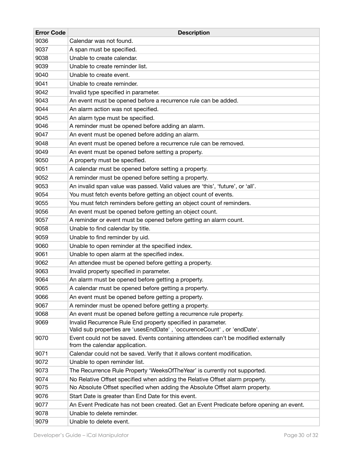| <b>Error Code</b> | <b>Description</b>                                                                                                                      |
|-------------------|-----------------------------------------------------------------------------------------------------------------------------------------|
| 9036              | Calendar was not found.                                                                                                                 |
| 9037              | A span must be specified.                                                                                                               |
| 9038              | Unable to create calendar.                                                                                                              |
| 9039              | Unable to create reminder list.                                                                                                         |
| 9040              | Unable to create event.                                                                                                                 |
| 9041              | Unable to create reminder.                                                                                                              |
| 9042              | Invalid type specified in parameter.                                                                                                    |
| 9043              | An event must be opened before a recurrence rule can be added.                                                                          |
| 9044              | An alarm action was not specified.                                                                                                      |
| 9045              | An alarm type must be specified.                                                                                                        |
| 9046              | A reminder must be opened before adding an alarm.                                                                                       |
| 9047              | An event must be opened before adding an alarm.                                                                                         |
| 9048              | An event must be opened before a recurrence rule can be removed.                                                                        |
| 9049              | An event must be opened before setting a property.                                                                                      |
| 9050              | A property must be specified.                                                                                                           |
| 9051              | A calendar must be opened before setting a property.                                                                                    |
| 9052              | A reminder must be opened before setting a property.                                                                                    |
| 9053              | An invalid span value was passed. Valid values are 'this', 'future', or 'all'.                                                          |
| 9054              | You must fetch events before getting an object count of events.                                                                         |
| 9055              | You must fetch reminders before getting an object count of reminders.                                                                   |
| 9056              | An event must be opened before getting an object count.                                                                                 |
| 9057              | A reminder or event must be opened before getting an alarm count.                                                                       |
| 9058              | Unable to find calendar by title.                                                                                                       |
| 9059              | Unable to find reminder by uid.                                                                                                         |
| 9060              | Unable to open reminder at the specified index.                                                                                         |
| 9061              | Unable to open alarm at the specified index.                                                                                            |
| 9062              | An attendee must be opened before getting a property.                                                                                   |
| 9063              | Invalid property specified in parameter.                                                                                                |
| 9064              | An alarm must be opened before getting a property.                                                                                      |
| 9065              | A calendar must be opened before getting a property.                                                                                    |
| 9066              | An event must be opened before getting a property.                                                                                      |
| 9067              | A reminder must be opened before getting a property.                                                                                    |
| 9068              | An event must be opened before getting a recurrence rule property.                                                                      |
| 9069              | Invalid Recurrence Rule End property specified in parameter.<br>Valid sub properties are 'usesEndDate', 'occurenceCount', or 'endDate'. |
| 9070              | Event could not be saved. Events containing attendees can't be modified externally<br>from the calendar application.                    |
| 9071              | Calendar could not be saved. Verify that it allows content modification.                                                                |
| 9072              | Unable to open reminder list.                                                                                                           |
| 9073              | The Recurrence Rule Property 'WeeksOfTheYear' is currently not supported.                                                               |
| 9074              | No Relative Offset specified when adding the Relative Offset alarm property.                                                            |
| 9075              | No Absolute Offset specified when adding the Absolute Offset alarm property.                                                            |
| 9076              | Start Date is greater than End Date for this event.                                                                                     |
| 9077              | An Event Predicate has not been created. Get an Event Predicate before opening an event.                                                |
| 9078              | Unable to delete reminder.                                                                                                              |
| 9079              | Unable to delete event.                                                                                                                 |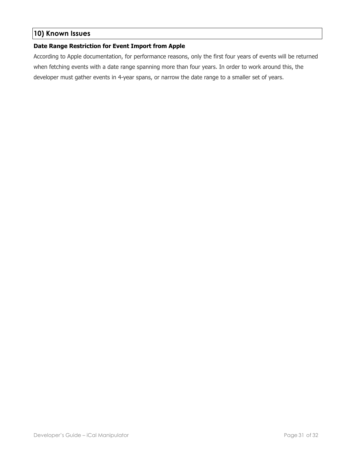## <span id="page-30-0"></span>**10) Known Issues**

#### **Date Range Restriction for Event Import from Apple**

According to Apple documentation, for performance reasons, only the first four years of events will be returned when fetching events with a date range spanning more than four years. In order to work around this, the developer must gather events in 4-year spans, or narrow the date range to a smaller set of years.